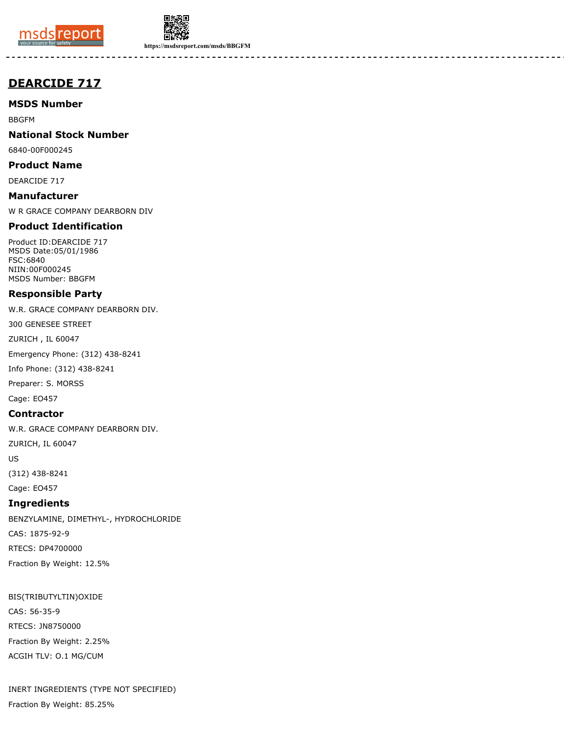



**https://msdsreport.com/msds/BBGFM**

# **DEARCIDE 717**

**MSDS Number**

BBGFM

**National Stock Number**

6840-00F000245

**Product Name** DEARCIDE 717

**Manufacturer**

W R GRACE COMPANY DEARBORN DIV

## **Product Identification**

Product ID:DEARCIDE 717 MSDS Date:05/01/1986 FSC:6840 NIIN:00F000245 MSDS Number: BBGFM

## **Responsible Party**

W.R. GRACE COMPANY DEARBORN DIV.

300 GENESEE STREET

ZURICH , IL 60047

Emergency Phone: (312) 438-8241

Info Phone: (312) 438-8241

Preparer: S. MORSS

Cage: EO457

## **Contractor**

W.R. GRACE COMPANY DEARBORN DIV.

ZURICH, IL 60047

US

(312) 438-8241

Cage: EO457

## **Ingredients**

BENZYLAMINE, DIMETHYL-, HYDROCHLORIDE CAS: 1875-92-9 RTECS: DP4700000 Fraction By Weight: 12.5%

BIS(TRIBUTYLTIN)OXIDE CAS: 56-35-9 RTECS: JN8750000 Fraction By Weight: 2.25% ACGIH TLV: O.1 MG/CUM

INERT INGREDIENTS (TYPE NOT SPECIFIED) Fraction By Weight: 85.25%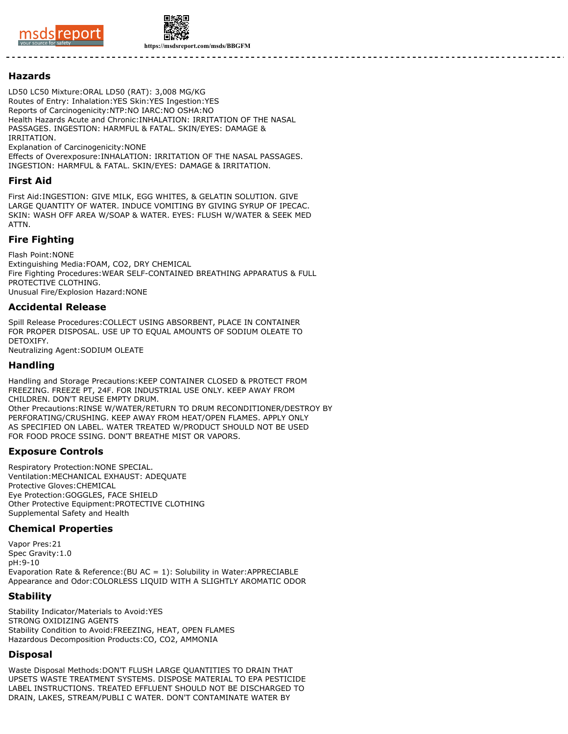



**https://msdsreport.com/msds/BBGFM**

#### **Hazards**

LD50 LC50 Mixture:ORAL LD50 (RAT): 3,008 MG/KG Routes of Entry: Inhalation:YES Skin:YES Ingestion:YES Reports of Carcinogenicity:NTP:NO IARC:NO OSHA:NO Health Hazards Acute and Chronic:INHALATION: IRRITATION OF THE NASAL PASSAGES. INGESTION: HARMFUL & FATAL. SKIN/EYES: DAMAGE & IRRITATION. Explanation of Carcinogenicity:NONE

Effects of Overexposure:INHALATION: IRRITATION OF THE NASAL PASSAGES. INGESTION: HARMFUL & FATAL. SKIN/EYES: DAMAGE & IRRITATION.

#### **First Aid**

First Aid:INGESTION: GIVE MILK, EGG WHITES, & GELATIN SOLUTION. GIVE LARGE QUANTITY OF WATER. INDUCE VOMITING BY GIVING SYRUP OF IPECAC. SKIN: WASH OFF AREA W/SOAP & WATER. EYES: FLUSH W/WATER & SEEK MED ATTN.

# **Fire Fighting**

Flash Point:NONE Extinguishing Media:FOAM, CO2, DRY CHEMICAL Fire Fighting Procedures:WEAR SELF-CONTAINED BREATHING APPARATUS & FULL PROTECTIVE CLOTHING. Unusual Fire/Explosion Hazard:NONE

#### **Accidental Release**

Spill Release Procedures:COLLECT USING ABSORBENT, PLACE IN CONTAINER FOR PROPER DISPOSAL. USE UP TO EQUAL AMOUNTS OF SODIUM OLEATE TO DETOXIFY. Neutralizing Agent:SODIUM OLEATE

#### **Handling**

Handling and Storage Precautions:KEEP CONTAINER CLOSED & PROTECT FROM FREEZING. FREEZE PT, 24F. FOR INDUSTRIAL USE ONLY. KEEP AWAY FROM CHILDREN. DON'T REUSE EMPTY DRUM. Other Precautions:RINSE W/WATER/RETURN TO DRUM RECONDITIONER/DESTROY BY PERFORATING/CRUSHING. KEEP AWAY FROM HEAT/OPEN FLAMES. APPLY ONLY AS SPECIFIED ON LABEL. WATER TREATED W/PRODUCT SHOULD NOT BE USED FOR FOOD PROCE SSING. DON'T BREATHE MIST OR VAPORS.

# **Exposure Controls**

Respiratory Protection:NONE SPECIAL. Ventilation:MECHANICAL EXHAUST: ADEQUATE Protective Gloves:CHEMICAL Eye Protection:GOGGLES, FACE SHIELD Other Protective Equipment:PROTECTIVE CLOTHING Supplemental Safety and Health

## **Chemical Properties**

Vapor Pres:21 Spec Gravity:1.0 pH:9-10 Evaporation Rate & Reference:(BU AC = 1): Solubility in Water:APPRECIABLE Appearance and Odor:COLORLESS LIQUID WITH A SLIGHTLY AROMATIC ODOR

## **Stability**

Stability Indicator/Materials to Avoid:YES STRONG OXIDIZING AGENTS Stability Condition to Avoid:FREEZING, HEAT, OPEN FLAMES Hazardous Decomposition Products:CO, CO2, AMMONIA

#### **Disposal**

Waste Disposal Methods:DON'T FLUSH LARGE QUANTITIES TO DRAIN THAT UPSETS WASTE TREATMENT SYSTEMS. DISPOSE MATERIAL TO EPA PESTICIDE LABEL INSTRUCTIONS. TREATED EFFLUENT SHOULD NOT BE DISCHARGED TO DRAIN, LAKES, STREAM/PUBLI C WATER. DON'T CONTAMINATE WATER BY